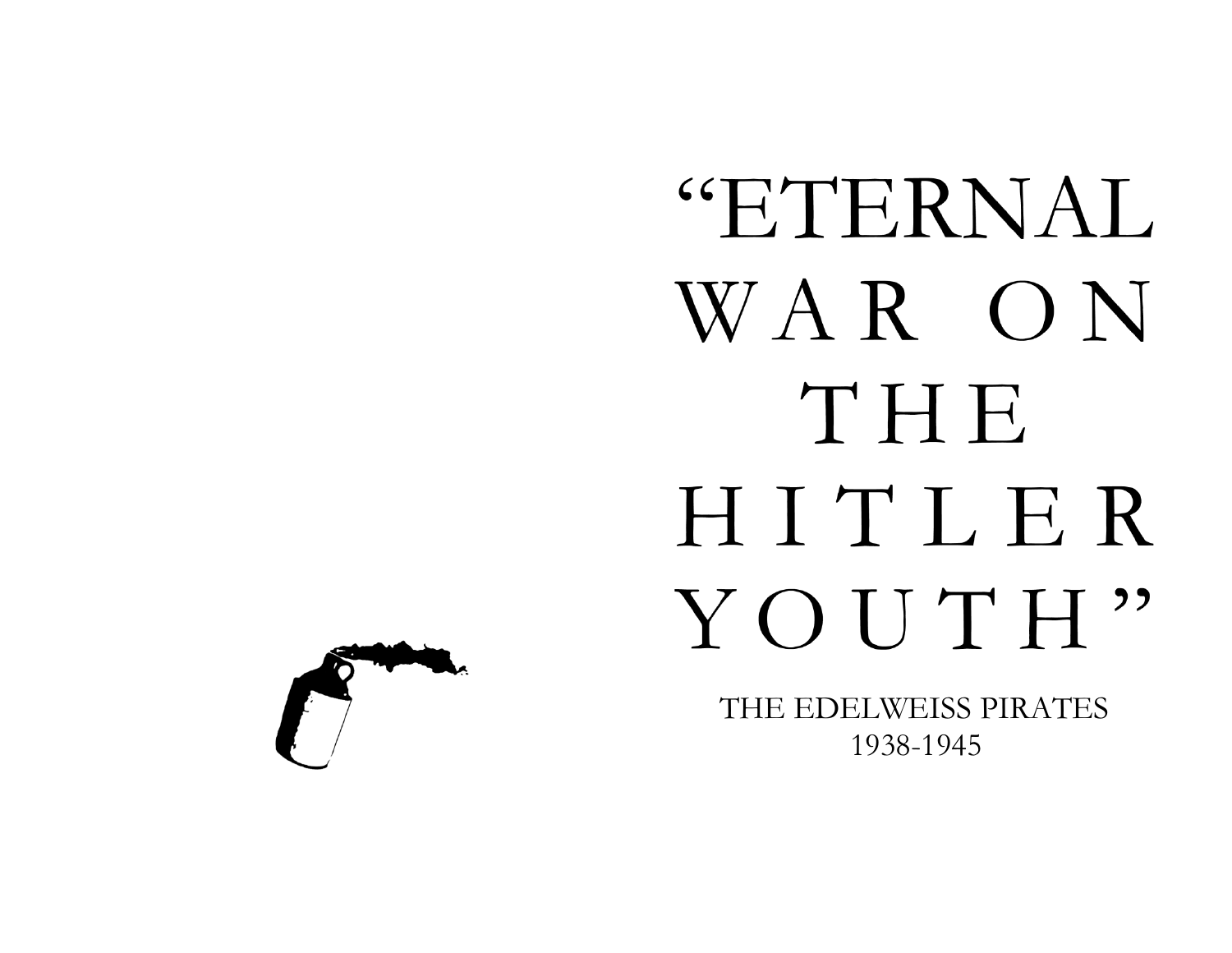## "ETERNAL WAR ON THE HITLER YOUTH"

THE EDELWEISS PIRATES 1938-1945

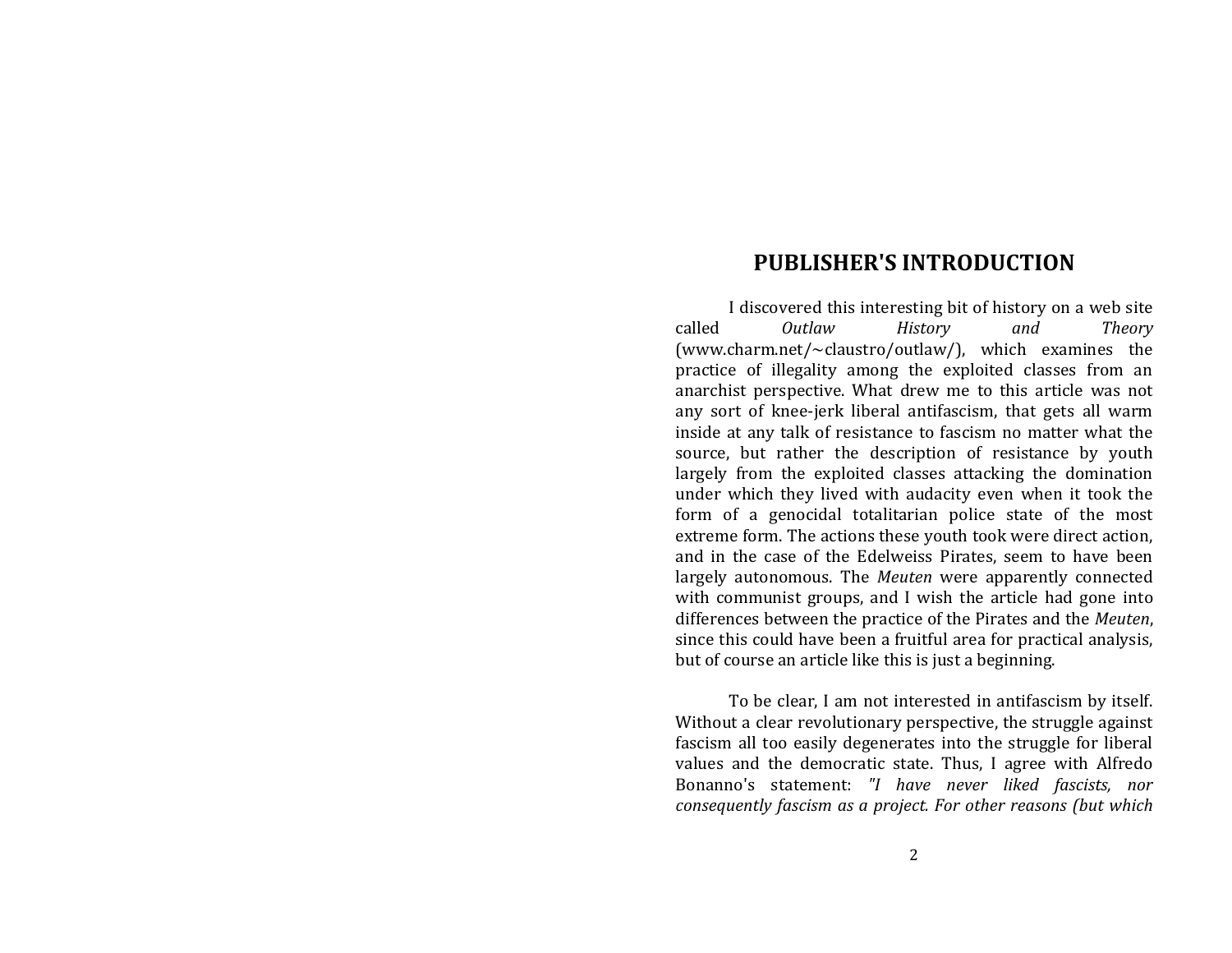## **PUBLISHER'S INTRODUCTION**

I discovered this interesting bit of history on a web site called *Outlaw History and Theory* (www.charm.net/~claustro/outlaw/), which examines the practice of illegality among the exploited classes from an anarchist perspective. What drew me to this article was not any sort of knee-jerk liberal antifascism, that gets all warm inside at any talk of resistance to fascism no matter what the source, but rather the description of resistance by youth largely from the exploited classes attacking the domination under which they lived with audacity even when it took the form of a genocidal totalitarian police state of the most extreme form. The actions these youth took were direct action, and in the case of the Edelweiss Pirates, seem to have been largely autonomous. The *Meuten* were apparently connected with communist groups, and I wish the article had gone into differences between the practice of the Pirates and the *Meuten*, since this could have been a fruitful area for practical analysis, but of course an article like this is just a beginning.

To be clear, I am not interested in antifascism by itself. Without a clear revolutionary perspective, the struggle against fascism all too easily degenerates into the struggle for liberal values and the democratic state. Thus, I agree with Alfredo Bonanno's statement: *"I have never liked fascists, nor consequently fascism as a project. For other reasons (but which*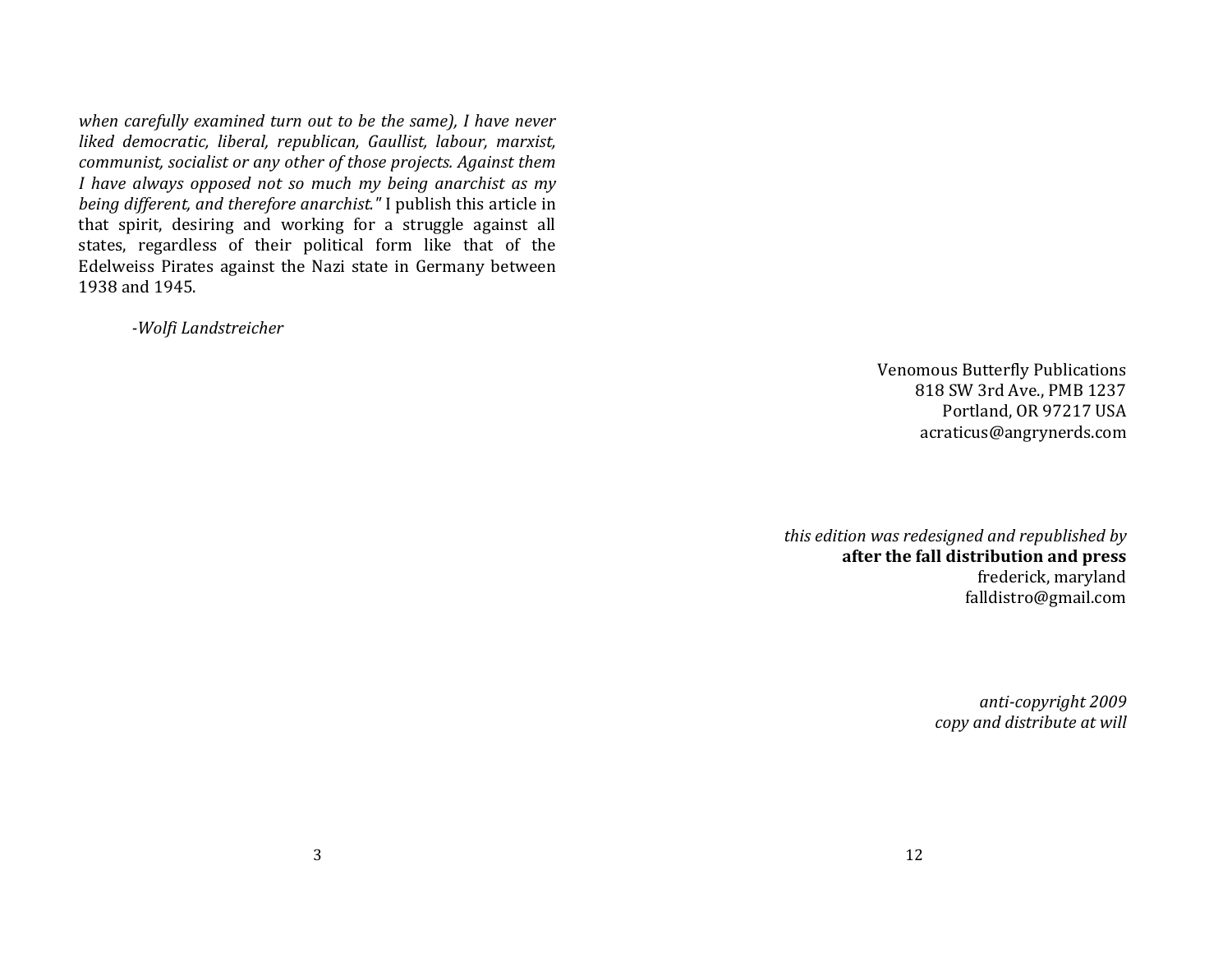*when carefully examined turn out to be the same), I have never liked democratic, liberal, republican, Gaullist, labour, marxist, communist, socialist or any other of those projects. Against them I have always opposed not so much my being anarchist as my being different, and therefore anarchist."* I publish this article in that spirit, desiring and working for a struggle against all states, regardless of their political form like that of the Edelweiss Pirates against the Nazi state in Germany between 1938 and 1945.

*-Wolfi Landstreicher*

Venomous Butterfly Publications 818 SW 3rd Ave., PMB 1237 Portland, OR 97217 USA acraticus@angrynerds.com

*this edition was redesigned and republished by*  **after the fall distribution and press**  frederick, maryland falldistro@gmail.com

> *anti-copyright 2009 copy and distribute at will*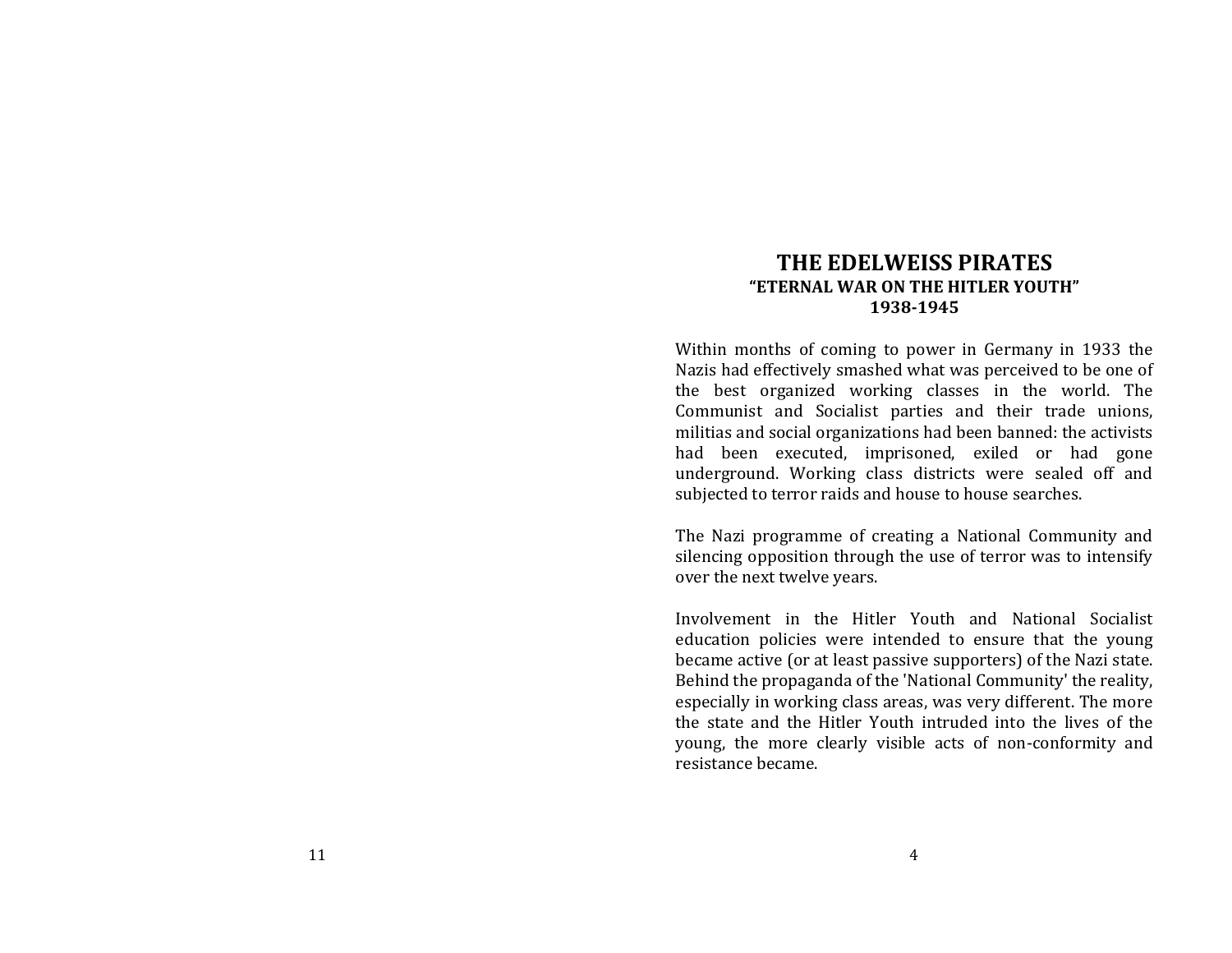## **THE EDELWEISS PIRATES "ETERNAL WAR ON THE HITLER YOUTH" 1938-1945**

Within months of coming to power in Germany in 1933 the Nazis had effectively smashed what was perceived to be one of the best organized working classes in the world. The Communist and Socialist parties and their trade unions, militias and social organizations had been banned: the activists had been executed, imprisoned, exiled or had gone underground. Working class districts were sealed off and subjected to terror raids and house to house searches.

The Nazi programme of creating a National Community and silencing opposition through the use of terror was to intensify over the next twelve years.

Involvement in the Hitler Youth and National Socialist education policies were intended to ensure that the young became active (or at least passive supporters) of the Nazi state. Behind the propaganda of the 'National Community' the reality, especially in working class areas, was very different. The more the state and the Hitler Youth intruded into the lives of the young, the more clearly visible acts of non-conformity and resistance became.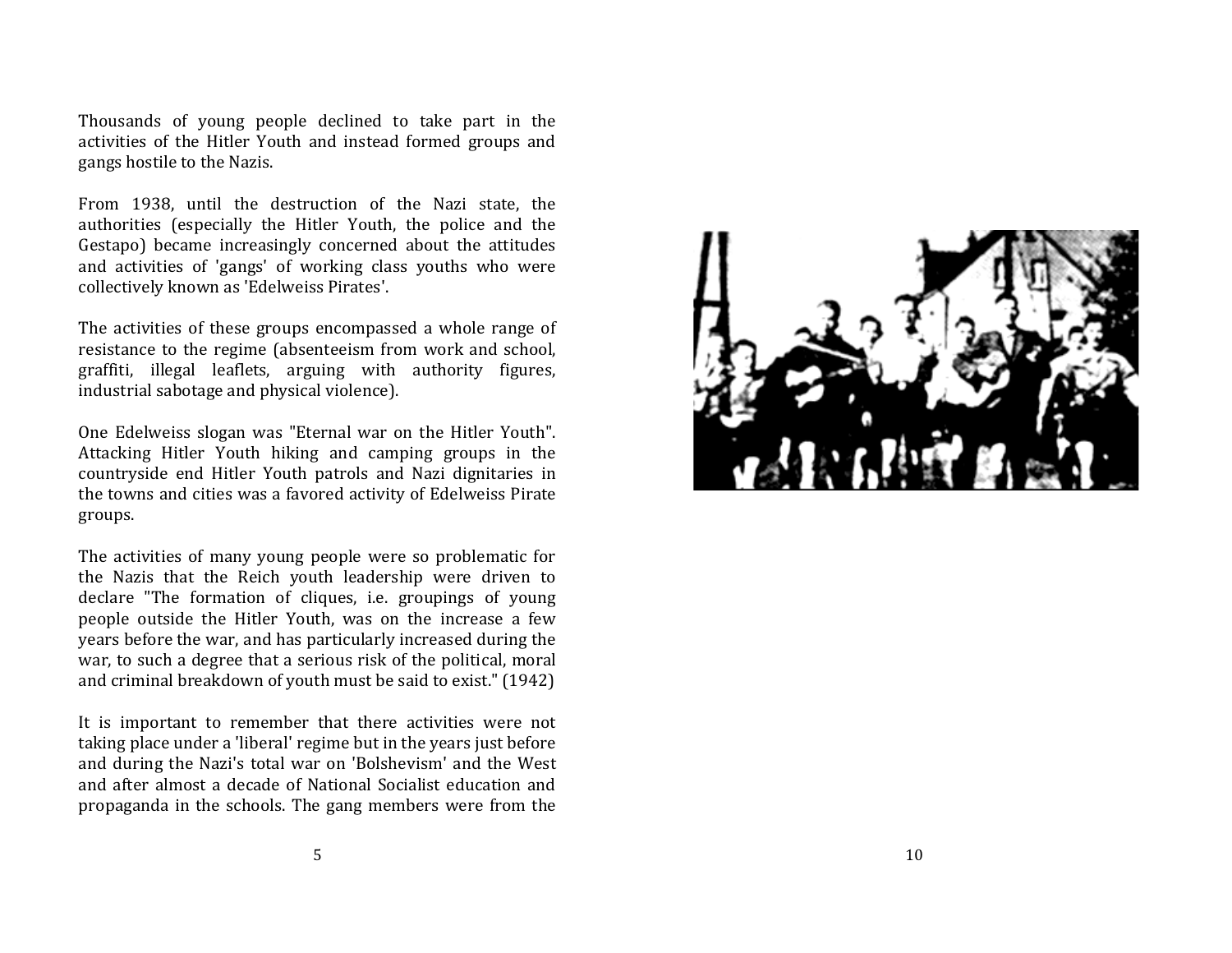Thousands of young people declined to take part in the activities of the Hitler Youth and instead formed groups and gangs hostile to the Nazis.

From 1938, until the destruction of the Nazi state, the authorities (especially the Hitler Youth, the police and the Gestapo) became increasingly concerned about the attitudes and activities of 'gangs' of working class youths who were collectively known as 'Edelweiss Pirates'.

The activities of these groups encompassed a whole range of resistance to the regime (absenteeism from work and school, graffiti, illegal leaflets, arguing with authority figures, industrial sabotage and physical violence).

One Edelweiss slogan was "Eternal war on the Hitler Youth". Attacking Hitler Youth hiking and camping groups in the countryside end Hitler Youth patrols and Nazi dignitaries in the towns and cities was a favored activity of Edelweiss Pirate groups.

The activities of many young people were so problematic for the Nazis that the Reich youth leadership were driven to declare "The formation of cliques, i.e. groupings of young people outside the Hitler Youth, was on the increase a few years before the war, and has particularly increased during the war, to such a degree that a serious risk of the political, moral and criminal breakdown of youth must be said to exist." (1942)

It is important to remember that there activities were not taking place under a 'liberal' regime but in the years just before and during the Nazi's total war on 'Bolshevism' and the West and after almost a decade of National Socialist education and propaganda in the schools. The gang members were from the

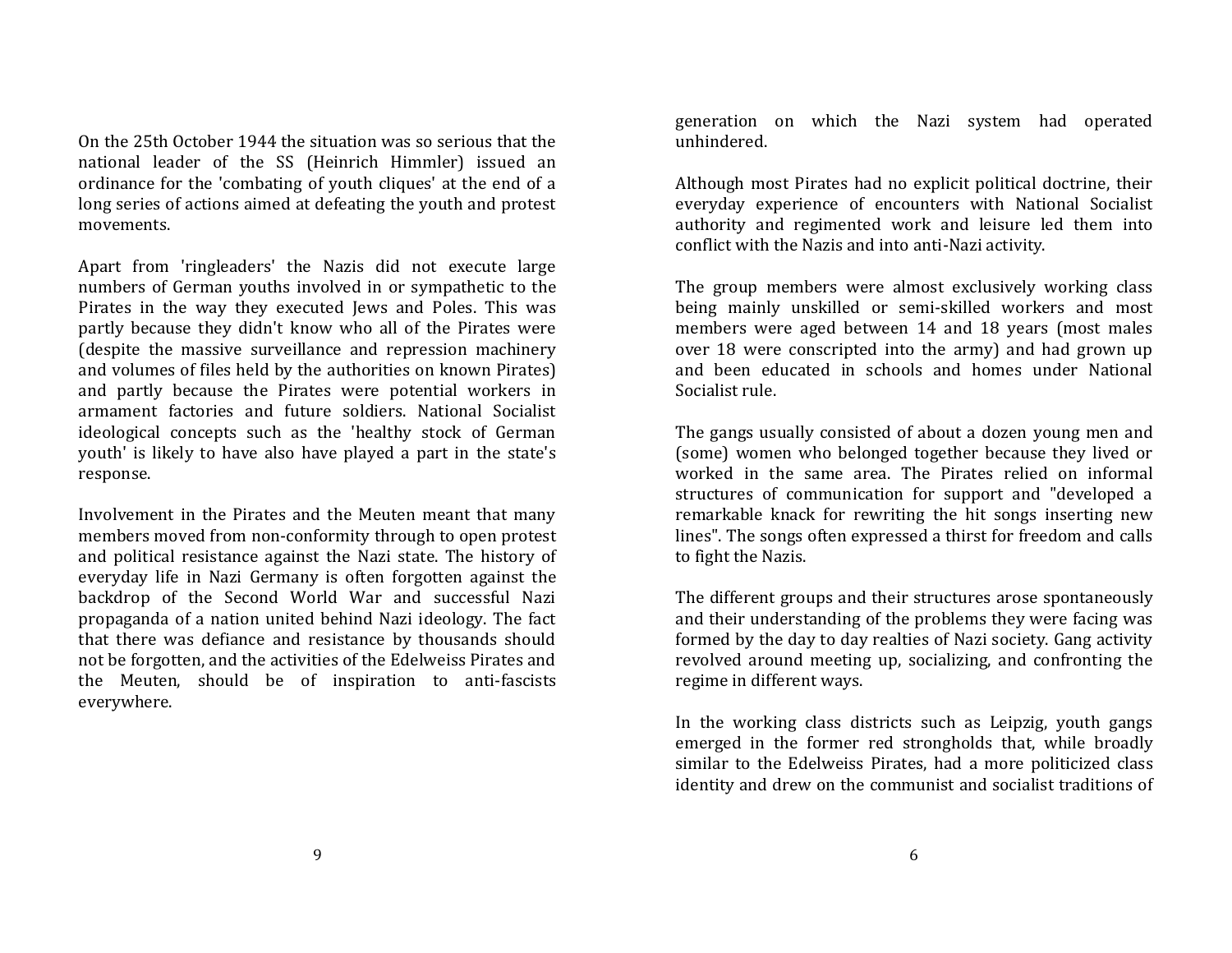On the 25th October 1944 the situation was so serious that the national leader of the SS (Heinrich Himmler) issued an ordinance for the 'combating of youth cliques' at the end of a long series of actions aimed at defeating the youth and protest movements.

Apart from 'ringleaders' the Nazis did not execute large numbers of German youths involved in or sympathetic to the Pirates in the way they executed Jews and Poles. This was partly because they didn't know who all of the Pirates were (despite the massive surveillance and repression machinery and volumes of files held by the authorities on known Pirates) and partly because the Pirates were potential workers in armament factories and future soldiers. National Socialist ideological concepts such as the 'healthy stock of German youth' is likely to have also have played a part in the state's response.

Involvement in the Pirates and the Meuten meant that many members moved from non-conformity through to open protest and political resistance against the Nazi state. The history of everyday life in Nazi Germany is often forgotten against the backdrop of the Second World War and successful Nazi propaganda of a nation united behind Nazi ideology. The fact that there was defiance and resistance by thousands should not be forgotten, and the activities of the Edelweiss Pirates and the Meuten, should be of inspiration to anti-fascists everywhere.

generation on which the Nazi system had operated unhindered.

Although most Pirates had no explicit political doctrine, their everyday experience of encounters with National Socialist authority and regimented work and leisure led them into conflict with the Nazis and into anti-Nazi activity.

The group members were almost exclusively working class being mainly unskilled or semi-skilled workers and most members were aged between 14 and 18 years (most males over 18 were conscripted into the army) and had grown up and been educated in schools and homes under National Socialist rule.

The gangs usually consisted of about a dozen young men and (some) women who belonged together because they lived or worked in the same area. The Pirates relied on informal structures of communication for support and "developed a remarkable knack for rewriting the hit songs inserting new lines". The songs often expressed a thirst for freedom and calls to fight the Nazis.

The different groups and their structures arose spontaneously and their understanding of the problems they were facing was formed by the day to day realties of Nazi society. Gang activity revolved around meeting up, socializing, and confronting the regime in different ways.

In the working class districts such as Leipzig, youth gangs emerged in the former red strongholds that, while broadly similar to the Edelweiss Pirates, had a more politicized class identity and drew on the communist and socialist traditions of